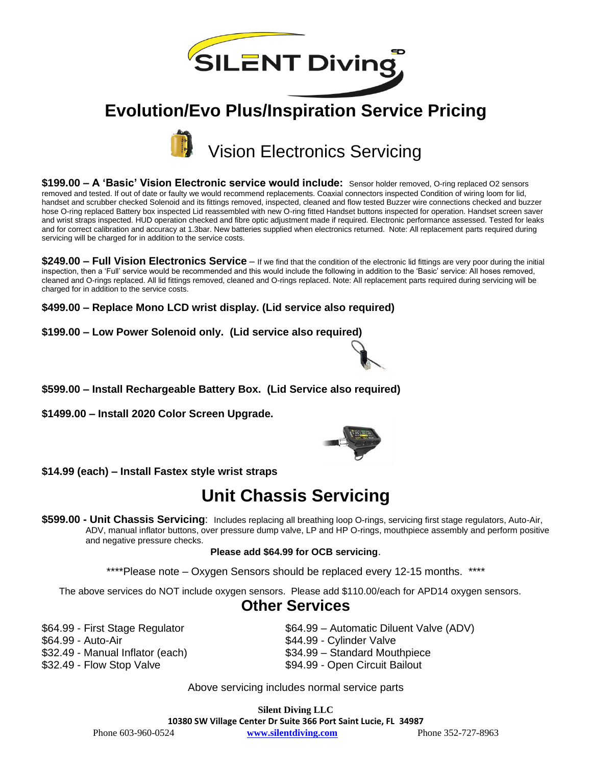

# **Evolution/Evo Plus/Inspiration Service Pricing**



**\$199.00 – A 'Basic' Vision Electronic service would include:** Sensor holder removed, O-ring replaced O2 sensors removed and tested. If out of date or faulty we would recommend replacements. Coaxial connectors inspected Condition of wiring loom for lid, handset and scrubber checked Solenoid and its fittings removed, inspected, cleaned and flow tested Buzzer wire connections checked and buzzer hose O-ring replaced Battery box inspected Lid reassembled with new O-ring fitted Handset buttons inspected for operation. Handset screen saver and wrist straps inspected. HUD operation checked and fibre optic adjustment made if required. Electronic performance assessed. Tested for leaks and for correct calibration and accuracy at 1.3bar. New batteries supplied when electronics returned. Note: All replacement parts required during servicing will be charged for in addition to the service costs.

**\$249.00 – Full Vision Electronics Service** – If we find that the condition of the electronic lid fittings are very poor during the initial inspection, then a 'Full' service would be recommended and this would include the following in addition to the 'Basic' service: All hoses removed, cleaned and O-rings replaced. All lid fittings removed, cleaned and O-rings replaced. Note: All replacement parts required during servicing will be charged for in addition to the service costs.

**\$499.00 – Replace Mono LCD wrist display. (Lid service also required)**

**\$199.00 – Low Power Solenoid only. (Lid service also required)** 



**\$599.00 – Install Rechargeable Battery Box. (Lid Service also required)**

**\$1499.00 – Install 2020 Color Screen Upgrade.** 



**\$14.99 (each) – Install Fastex style wrist straps**

# **Unit Chassis Servicing**

**\$599.00 - Unit Chassis Servicing**: Includes replacing all breathing loop O-rings, servicing first stage regulators, Auto-Air, ADV, manual inflator buttons, over pressure dump valve, LP and HP O-rings, mouthpiece assembly and perform positive and negative pressure checks.

#### **Please add \$64.99 for OCB servicing**.

\*\*\*\*Please note – Oxygen Sensors should be replaced every 12-15 months. \*\*\*\*

The above services do NOT include oxygen sensors. Please add \$110.00/each for APD14 oxygen sensors.

### **Other Services**

\$64.99 - Auto-Air \$44.99 - Cylinder Valve \$32.49 - Manual Inflator (each) \$34.99 – Standard Mouthpiece \$32.49 - Flow Stop Valve \$94.99 - Open Circuit Bailout

\$64.99 - First Stage Regulator **\$64.99 – Automatic Diluent Valve (ADV)** 

- 
- 
- 

Above servicing includes normal service parts

**Silent Diving LLC 10380 SW Village Center Dr Suite 366 Port Saint Lucie, FL 34987** Phone 603-960-0524 **[www.silentdiving.com](http://www.silentdiving.com/)** Phone 352-727-8963